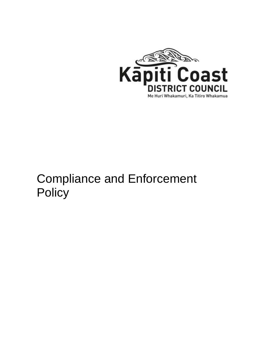

# Compliance and Enforcement **Policy**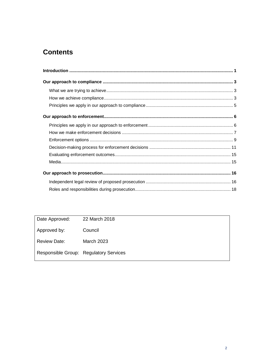# **Contents**

| Date Approved:      | 22 March 2018                          |
|---------------------|----------------------------------------|
| Approved by:        | Council                                |
| <b>Review Date:</b> | <b>March 2023</b>                      |
|                     | Responsible Group: Regulatory Services |
|                     |                                        |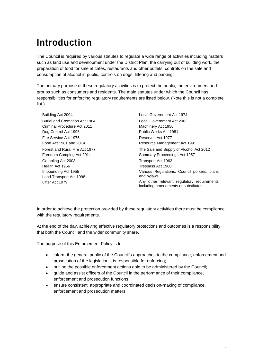# **Introduction**

The Council is required by various statutes to regulate a wide range of activities including matters such as land use and development under the District Plan, the carrying out of building work, the preparation of food for sale at cafes, restaurants and other outlets, controls on the sale and consumption of alcohol in public, controls on dogs, littering and parking.

The primary purpose of these regulatory activities is to protect the public, the environment and groups such as consumers and residents. The main statutes under which the Council has responsibilities for enforcing regulatory requirements are listed below. (Note this is not a complete list.)

Burial and Cremation Act 1964 Criminal Procedure Act 2011 Dog Control Act 1996 Fire Service Act 1975 Food Act 1981 and 2014 Forest and Rural Fire Act 1977 Freedom Camping Act 2011 Gambling Act 2003 Health Act 1956 Impounding Act 1955 Land Transport Act 1998 Litter Act 1979

Building Act 2004 Local Government Act 1974 Local Government Act 2002 Machinery Act 1950 Public Works Act 1981 Reserves Act 1977 Resource Management Act 1991 The Sale and Supply of Alcohol Act 2012 Summary Proceedings Act 1957 Transport Act 1962 Trespass Act 1980 Various Regulations, Council policies, plans and bylaws Any other relevant regulatory requirements including amendments or substitutes

In order to achieve the protection provided by these regulatory activities there must be compliance with the regulatory requirements.

At the end of the day, achieving effective regulatory protections and outcomes is a responsibility that both the Council and the wider community share.

The purpose of this Enforcement Policy is to:

- inform the general public of the Council's approaches to the compliance, enforcement and prosecution of the legislation it is responsible for enforcing;
- outline the possible enforcement actions able to be administered by the Council;
- guide and assist officers of the Council in the performance of their compliance, enforcement and prosecution functions;
- ensure consistent, appropriate and coordinated decision-making of compliance, enforcement and prosecution matters.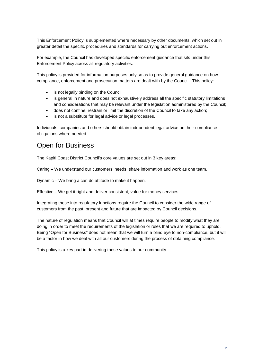This Enforcement Policy is supplemented where necessary by other documents, which set out in greater detail the specific procedures and standards for carrying out enforcement actions.

For example, the Council has developed specific enforcement guidance that sits under this Enforcement Policy across all regulatory activities.

This policy is provided for information purposes only so as to provide general guidance on how compliance, enforcement and prosecution matters are dealt with by the Council. This policy:

- is not legally binding on the Council;
- is general in nature and does not exhaustively address all the specific statutory limitations and considerations that may be relevant under the legislation administered by the Council;
- does not confine, restrain or limit the discretion of the Council to take any action;
- is not a substitute for legal advice or legal processes.

Individuals, companies and others should obtain independent legal advice on their compliance obligations where needed.

## Open for Business

The Kapiti Coast District Council's core values are set out in 3 key areas:

Caring – We understand our customers' needs, share information and work as one team.

Dynamic – We bring a can do attitude to make it happen.

Effective – We get it right and deliver consistent, value for money services.

Integrating these into regulatory functions require the Council to consider the wide range of customers from the past, present and future that are impacted by Council decisions.

The nature of regulation means that Council will at times require people to modify what they are doing in order to meet the requirements of the legislation or rules that we are required to uphold. Being "Open for Business" does not mean that we will turn a blind eye to non-compliance, but it will be a factor in how we deal with all our customers during the process of obtaining compliance.

This policy is a key part in delivering these values to our community.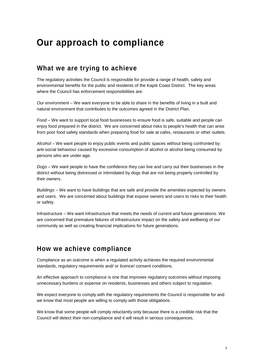# **Our approach to compliance**

## **What we are trying to achieve**

The regulatory activities the Council is responsible for provide a range of health, safety and environmental benefits for the public and residents of the Kapiti Coast District. The key areas where the Council has enforcement responsibilities are:

*Our environment* – We want everyone to be able to share in the benefits of living in a built and natural environment that contributes to the outcomes agreed in the District Plan.

*Food* – We want to support local food businesses to ensure food is safe, suitable and people can enjoy food prepared in the district. We are concerned about risks to people's health that can arise from poor food safety standards when preparing food for sale at cafes, restaurants or other outlets.

*Alcohol* – We want people to enjoy public events and public spaces without being confronted by anti-social behaviour caused by excessive consumption of alcohol or alcohol being consumed by persons who are under-age.

*Dogs* – We want people to have the confidence they can live and carry out their businesses in the district without being distressed or intimidated by dogs that are not being properly controlled by their owners.

*Buildings* – We want to have buildings that are safe and provide the amenities expected by owners and users. We are concerned about buildings that expose owners and users to risks to their health or safety.

Infrastructure – We want infrastructure that meets the needs of current and future generations. We are concerned that premature failures of infrastructure impact on the safety and wellbeing of our community as well as creating financial implications for future generations.

## **How we achieve compliance**

Compliance as an outcome is when a regulated activity achieves the required environmental standards, regulatory requirements and/ or licence/ consent conditions.

An effective approach to compliance is one that improves regulatory outcomes without imposing unnecessary burdens or expense on residents, businesses and others subject to regulation.

We expect everyone to comply with the regulatory requirements the Council is responsible for and we know that most people are willing to comply with those obligations.

We know that some people will comply reluctantly only because there is a credible risk that the Council will detect their non-compliance and it will result in serious consequences.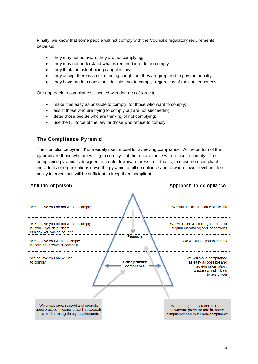Finally, we know that some people will not comply with the Council's regulatory requirements because:

- they may not be aware they are not complying;
- they may not understand what is required in order to comply;
- they think the risk of being caught is low;
- they accept there is a risk of being caught but they are prepared to pay the penalty;
- they have made a conscious decision not to comply, regardless of the consequences.

Our approach to compliance is scaled with degrees of force to:

- make it as easy as possible to comply, for those who want to comply;
- assist those who are trying to comply but are not succeeding;
- deter those people who are thinking of not complying;
- use the full force of the law for those who refuse to comply.

## **The Compliance Pyramid**

The 'compliance pyramid' is a widely used model for achieving compliance. At the bottom of the pyramid are those who are willing to comply – at the top are those who refuse to comply. The compliance pyramid is designed to create downward pressure – that is, to move non-compliant individuals or organisations down the pyramid to full compliance and to where lower-level and less costly interventions will be sufficient to keep them compliant.

#### Attitude of person

#### Approach to compliance

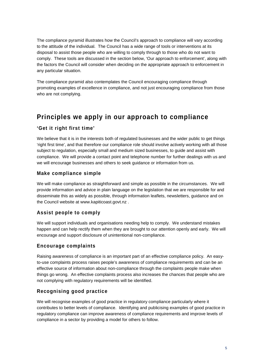The compliance pyramid illustrates how the Council's approach to compliance will vary according to the attitude of the individual. The Council has a wide range of tools or interventions at its disposal to assist those people who are willing to comply through to those who do not want to comply. These tools are discussed in the section below, 'Our approach to enforcement', along with the factors the Council will consider when deciding on the appropriate approach to enforcement in any particular situation.

The compliance pyramid also contemplates the Council encouraging compliance through promoting examples of excellence in compliance, and not just encouraging compliance from those who are not complying.

# **Principles we apply in our approach to compliance**

## **'Get it right first time'**

We believe that it is in the interests both of regulated businesses and the wider public to get things 'right first time', and that therefore our compliance role should involve actively working with all those subject to regulation, especially small and medium sized businesses, to guide and assist with compliance. We will provide a contact point and telephone number for further dealings with us and we will encourage businesses and others to seek guidance or information from us.

## **Make compliance simple**

We will make compliance as straightforward and simple as possible in the circumstances. We will provide information and advice in plain language on the legislation that we are responsible for and disseminate this as widely as possible, through information leaflets, newsletters, guidance and on the Council website at [www.kapiticoast.govt.nz](http://www.kapiticoast.govt.nz/) .

## **Assist people to comply**

We will support individuals and organisations needing help to comply. We understand mistakes happen and can help rectify them when they are brought to our attention openly and early. We will encourage and support disclosure of unintentional non-compliance.

#### **Encourage complaints**

Raising awareness of compliance is an important part of an effective compliance policy. An easyto-use complaints process raises people's awareness of compliance requirements and can be an effective source of information about non-compliance through the complaints people make when things go wrong. An effective complaints process also increases the chances that people who are not complying with regulatory requirements will be identified.

## **Recognising good practice**

We will recognise examples of good practice in regulatory compliance particularly where it contributes to better levels of compliance. Identifying and publicising examples of good practice in regulatory compliance can improve awareness of compliance requirements and improve levels of compliance in a sector by providing a model for others to follow.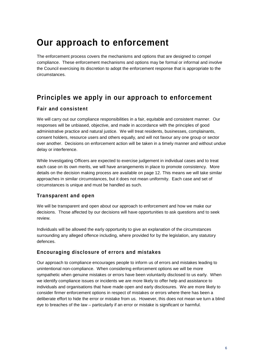# **Our approach to enforcement**

The enforcement process covers the mechanisms and options that are designed to compel compliance. These enforcement mechanisms and options may be formal or informal and involve the Council exercising its discretion to adopt the enforcement response that is appropriate to the circumstances.

# **Principles we apply in our approach to enforcement**

## **Fair and consistent**

We will carry out our compliance responsibilities in a fair, equitable and consistent manner. Our responses will be unbiased, objective, and made in accordance with the principles of good administrative practice and natural justice. We will treat residents, businesses, complainants, consent holders, resource users and others equally, and will not favour any one group or sector over another. Decisions on enforcement action will be taken in a timely manner and without undue delay or interference.

While Investigating Officers are expected to exercise judgement in individual cases and to treat each case on its own merits, we will have arrangements in place to promote consistency. More details on the decision making process are available on page 12. This means we will take similar approaches in similar circumstances, but it does not mean uniformity. Each case and set of circumstances is unique and must be handled as such.

## **Transparent and open**

We will be transparent and open about our approach to enforcement and how we make our decisions. Those affected by our decisions will have opportunities to ask questions and to seek review.

Individuals will be allowed the early opportunity to give an explanation of the circumstances surrounding any alleged offence including, where provided for by the legislation, any statutory defences.

## **Encouraging disclosure of errors and mistakes**

Our approach to compliance encourages people to inform us of errors and mistakes leading to unintentional non-compliance. When considering enforcement options we will be more sympathetic when genuine mistakes or errors have been voluntarily disclosed to us early. When we identify compliance issues or incidents we are more likely to offer help and assistance to individuals and organisations that have made open and early disclosures. We are more likely to consider firmer enforcement options in respect of mistakes or errors where there has been a deliberate effort to hide the error or mistake from us. However, this does not mean we turn a blind eye to breaches of the law – particularly if an error or mistake is significant or harmful.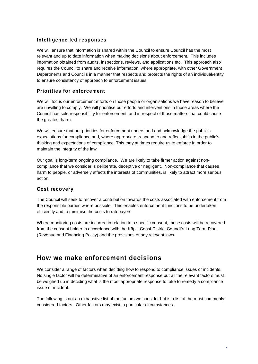## **Intelligence led responses**

We will ensure that information is shared within the Council to ensure Council has the most relevant and up to date information when making decisions about enforcement. This includes information obtained from audits, inspections, reviews, and applications etc. This approach also requires the Council to share and receive information, where appropriate, with other Government Departments and Councils in a manner that respects and protects the rights of an individual/entity to ensure consistency of approach to enforcement issues.

## **Priorities for enforcement**

We will focus our enforcement efforts on those people or organisations we have reason to believe are unwilling to comply. We will prioritise our efforts and interventions in those areas where the Council has sole responsibility for enforcement, and in respect of those matters that could cause the greatest harm.

We will ensure that our priorities for enforcement understand and acknowledge the public's expectations for compliance and, where appropriate, respond to and reflect shifts in the public's thinking and expectations of compliance. This may at times require us to enforce in order to maintain the integrity of the law.

Our goal is long-term ongoing compliance. We are likely to take firmer action against noncompliance that we consider is deliberate, deceptive or negligent. Non-compliance that causes harm to people, or adversely affects the interests of communities, is likely to attract more serious action.

## **Cost recovery**

The Council will seek to recover a contribution towards the costs associated with enforcement from the responsible parties where possible. This enables enforcement functions to be undertaken efficiently and to minimise the costs to ratepayers.

Where monitoring costs are incurred in relation to a specific consent, these costs will be recovered from the consent holder in accordance with the Kāpiti Coast District Council's Long Term Plan (Revenue and Financing Policy) and the provisions of any relevant laws.

## **How we make enforcement decisions**

We consider a range of factors when deciding how to respond to compliance issues or incidents. No single factor will be determinative of an enforcement response but all the relevant factors must be weighed up in deciding what is the most appropriate response to take to remedy a compliance issue or incident.

The following is not an exhaustive list of the factors we consider but is a list of the most commonly considered factors. Other factors may exist in particular circumstances.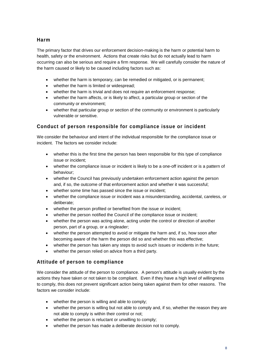## **Harm**

The primary factor that drives our enforcement decision-making is the harm or potential harm to health, safety or the environment. Actions that create risks but do not actually lead to harm occurring can also be serious and require a firm response. We will carefully consider the nature of the harm caused or likely to be caused including factors such as:

- whether the harm is temporary, can be remedied or mitigated, or is permanent;
- whether the harm is limited or widespread;
- whether the harm is trivial and does not require an enforcement response;
- whether the harm affects, or is likely to affect, a particular group or section of the community or environment;
- whether that particular group or section of the community or environment is particularly vulnerable or sensitive.

## **Conduct of person responsible for compliance issue or incident**

We consider the behaviour and intent of the individual responsible for the compliance issue or incident. The factors we consider include:

- whether this is the first time the person has been responsible for this type of compliance issue or incident;
- whether the compliance issue or incident is likely to be a one-off incident or is a pattern of behaviour;
- whether the Council has previously undertaken enforcement action against the person and, if so, the outcome of that enforcement action and whether it was successful;
- whether some time has passed since the issue or incident;
- whether the compliance issue or incident was a misunderstanding, accidental, careless, or deliberate;
- whether the person profited or benefited from the issue or incident;
- whether the person notified the Council of the compliance issue or incident;
- whether the person was acting alone, acting under the control or direction of another person, part of a group, or a ringleader;
- whether the person attempted to avoid or mitigate the harm and, if so, how soon after becoming aware of the harm the person did so and whether this was effective;
- whether the person has taken any steps to avoid such issues or incidents in the future;
- whether the person relied on advice from a third party.

## **Attitude of person to compliance**

We consider the attitude of the person to compliance. A person's attitude is usually evident by the actions they have taken or not taken to be compliant. Even if they have a high level of willingness to comply, this does not prevent significant action being taken against them for other reasons. The factors we consider include:

- whether the person is willing and able to comply;
- whether the person is willing but not able to comply and, if so, whether the reason they are not able to comply is within their control or not;
- whether the person is reluctant or unwilling to comply;
- whether the person has made a deliberate decision not to comply.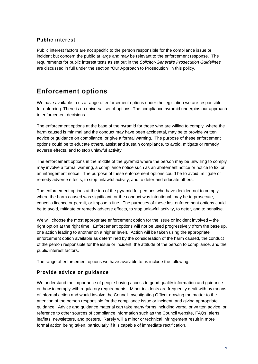## **Public interest**

Public interest factors are not specific to the person responsible for the compliance issue or incident but concern the public at large and may be relevant to the enforcement response. The requirements for public interest tests as set out in the *Solicitor-General's Prosecution Guidelines* are discussed in full under the section "Our Approach to Prosecution" in this policy.

# **Enforcement options**

We have available to us a range of enforcement options under the legislation we are responsible for enforcing. There is no universal set of options. The compliance pyramid underpins our approach to enforcement decisions.

The enforcement options at the base of the pyramid for those who are willing to comply, where the harm caused is minimal and the conduct may have been accidental, may be to provide written advice or guidance on compliance, or give a formal warning. The purpose of these enforcement options could be to educate others, assist and sustain compliance, to avoid, mitigate or remedy adverse effects, and to stop unlawful activity.

The enforcement options in the middle of the pyramid where the person may be unwilling to comply may involve a formal warning, a compliance notice such as an abatement notice or notice to fix, or an infringement notice. The purpose of these enforcement options could be to avoid, mitigate or remedy adverse effects, to stop unlawful activity, and to deter and educate others.

The enforcement options at the top of the pyramid for persons who have decided not to comply, where the harm caused was significant, or the conduct was intentional, may be to prosecute, cancel a licence or permit, or impose a fine. The purposes of these last enforcement options could be to avoid, mitigate or remedy adverse effects, to stop unlawful activity, to deter, and to penalise.

We will choose the most appropriate enforcement option for the issue or incident involved – the right option at the right time. Enforcement options will not be used progressively (from the base up, one action leading to another on a higher level). Action will be taken using the appropriate enforcement option available as determined by the consideration of the harm caused, the conduct of the person responsible for the issue or incident, the attitude of the person to compliance, and the public interest factors.

The range of enforcement options we have available to us include the following.

## **Provide advice or guidance**

We understand the importance of people having access to good quality information and guidance on how to comply with regulatory requirements. Minor incidents are frequently dealt with by means of informal action and would involve the Council Investigating Officer drawing the matter to the attention of the person responsible for the compliance issue or incident, and giving appropriate guidance. Advice and guidance material can take many forms including verbal or written advice, or reference to other sources of compliance information such as the Council website, FAQs, alerts, leaflets, newsletters, and posters. Rarely will a minor or technical infringement result in more formal action being taken, particularly if it is capable of immediate rectification.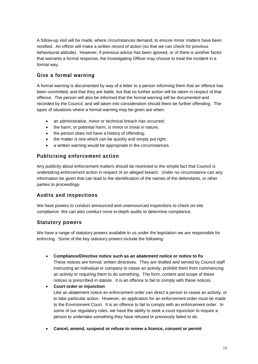A follow-up visit will be made, where circumstances demand, to ensure minor matters have been rectified. An officer will make a written record of action (so that we can check for previous behavioural attitude). However, if previous advice has been ignored, or of there is another factor that warrants a formal response, the Investigating Officer may choose to treat the incident in a formal way.

## **Give a formal warning**

A formal warning is documented by way of a letter to a person informing them that an offence has been committed, and that they are liable, but that no further action will be taken in respect of that offence. The person will also be informed that the formal warning will be documented and recorded by the Council, and will taken into consideration should there be further offending. The types of situations where a formal warning may be given are when:

- an administrative, minor or technical breach has occurred;
- the harm, or potential harm, is minor or trivial in nature;
- the person does not have a history of offending;
- the matter is one which can be quickly and simply put right;
- a written warning would be appropriate in the circumstances.

## **Publicising enforcement action**

Any publicity about enforcement matters should be restricted to the simple fact that Council is undertaking enforcement action in respect of an alleged breach. Under no circumstance can any information be given that can lead to the identification of the names of the defendants, or other parties to proceedings.

## **Audits and inspections**

We have powers to conduct announced and unannounced inspections to check on-site compliance. We can also conduct more in-depth audits to determine compliance.

## **Statutory powers**

We have a range of statutory powers available to us under the legislation we are responsible for enforcing. Some of the key statutory powers include the following:

• **Compliance/Directive notice such as an abatement notice or notice to fix**

These notices are formal, written directives. They are drafted and served by Council staff instructing an individual or company to cease an activity, prohibit them from commencing an activity or requiring them to do something. The form, content and scope of these notices is prescribed in statute. It is an offence to fail to comply with these notices.

- **Court order or injunction** Like an abatement notice an enforcement order can direct a person to cease an activity, or to take particular action. However, an application for an enforcement order must be made to the Environment Court. It is an offence to fail to comply with an enforcement order. In some of our regulatory roles, we have the ability to seek a court injunction to require a person to undertake something they have refused or previously failed to do.
- **Cancel, amend, suspend or refuse to renew a licence, consent or permit**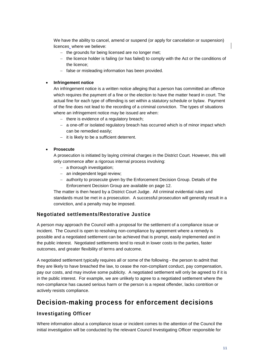We have the ability to cancel, amend or suspend (or apply for cancelation or suspension) licences where we believe:

- − the grounds for being licensed are no longer met;
- − the licence holder is failing (or has failed) to comply with the Act or the conditions of the licence;
- − false or misleading information has been provided.

#### • **Infringement notice**

An infringement notice is a written notice alleging that a person has committed an offence which requires the payment of a fine or the election to have the matter heard in court. The actual fine for each type of offending is set within a statutory schedule or bylaw. Payment of the fine does not lead to the recording of a criminal conviction. The types of situations where an infringement notice may be issued are when:

- − there is evidence of a regulatory breach;
- − a one-off or isolated regulatory breach has occurred which is of minor impact which can be remedied easily;
- − it is likely to be a sufficient deterrent.

#### • **Prosecute**

A prosecution is initiated by laying criminal charges in the District Court. However, this will only commence after a rigorous internal process involving:

- − a thorough investigation;
- − an independent legal review;
- − authority to prosecute given by the Enforcement Decision Group. Details of the Enforcement Decision Group are available on page 12.

The matter is then heard by a District Court Judge. All criminal evidential rules and standards must be met in a prosecution. A successful prosecution will generally result in a conviction, and a penalty may be imposed.

## **Negotiated settlements/Restorative Justice**

A person may approach the Council with a proposal for the settlement of a compliance issue or incident. The Council is open to resolving non-compliance by agreement where a remedy is possible and a negotiated settlement can be achieved that is prompt, easily implemented and in the public interest. Negotiated settlements tend to result in lower costs to the parties, faster outcomes, and greater flexibility of terms and outcome.

A negotiated settlement typically requires all or some of the following - the person to admit that they are likely to have breached the law, to cease the non-compliant conduct, pay compensation, pay our costs, and may involve some publicity. A negotiated settlement will only be agreed to if it is in the public interest. For example, we are unlikely to agree to a negotiated settlement where the non-compliance has caused serious harm or the person is a repeat offender, lacks contrition or actively resists compliance.

## **Decision-making process for enforcement decisions**

## **Investigating Officer**

Where information about a compliance issue or incident comes to the attention of the Council the initial investigation will be conducted by the relevant Council Investigating Officer responsible for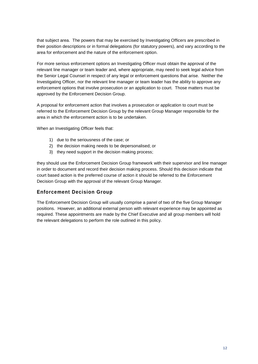that subject area. The powers that may be exercised by Investigating Officers are prescribed in their position descriptions or in formal delegations (for statutory powers), and vary according to the area for enforcement and the nature of the enforcement option.

For more serious enforcement options an Investigating Officer must obtain the approval of the relevant line manager or team leader and, where appropriate, may need to seek legal advice from the Senior Legal Counsel in respect of any legal or enforcement questions that arise. Neither the Investigating Officer, nor the relevant line manager or team leader has the ability to approve any enforcement options that involve prosecution or an application to court. Those matters must be approved by the Enforcement Decision Group.

A proposal for enforcement action that involves a prosecution or application to court must be referred to the Enforcement Decision Group by the relevant Group Manager responsible for the area in which the enforcement action is to be undertaken.

When an Investigating Officer feels that:

- 1) due to the seriousness of the case; or
- 2) the decision making needs to be depersonalised; or
- 3) they need support in the decision making process;

they should use the Enforcement Decision Group framework with their supervisor and line manager in order to document and record their decision making process. Should this decision indicate that court based action is the preferred course of action it should be referred to the Enforcement Decision Group with the approval of the relevant Group Manager.

## **Enforcement Decision Group**

The Enforcement Decision Group will usually comprise a panel of two of the five Group Manager positions. However, an additional external person with relevant experience may be appointed as required. These appointments are made by the Chief Executive and all group members will hold the relevant delegations to perform the role outlined in this policy.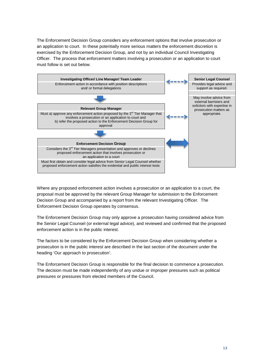The Enforcement Decision Group considers any enforcement options that involve prosecution or an application to court. In these potentially more serious matters the enforcement discretion is exercised by the Enforcement Decision Group, and not by an individual Council Investigating Officer. The process that enforcement matters involving a prosecution or an application to court must follow is set out below.



Where any proposed enforcement action involves a prosecution or an application to a court, the proposal must be approved by the relevant Group Manager for submission to the Enforcement Decision Group and accompanied by a report from the relevant Investigating Officer. The Enforcement Decision Group operates by consensus.

The Enforcement Decision Group may only approve a prosecution having considered advice from the Senior Legal Counsel (or external legal advice), and reviewed and confirmed that the proposed enforcement action is in the public interest.

The factors to be considered by the Enforcement Decision Group when considering whether a prosecution is in the public interest are described in the last section of the document under the heading 'Our approach to prosecution'.

The Enforcement Decision Group is responsible for the final decision to commence a prosecution. The decision must be made independently of any undue or improper pressures such as political pressures or pressures from elected members of the Council.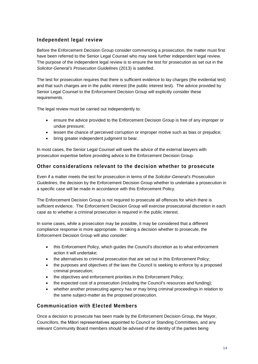## **Independent legal review**

Before the Enforcement Decision Group consider commencing a prosecution, the matter must first have been referred to the Senior Legal Counsel who may seek further independent legal review. The purpose of the independent legal review is to ensure the test for prosecution as set out in the *Solicitor-General's Prosecution Guidelines* (2013) is satisfied.

The test for prosecution requires that there is sufficient evidence to lay charges (the evidential test) and that such charges are in the public interest (the public interest test). The advice provided by Senior Legal Counsel to the Enforcement Decision Group will explicitly consider these requirements.

The legal review must be carried out independently to:

- ensure the advice provided to the Enforcement Decision Group is free of any improper or undue pressure;
- lessen the chance of perceived corruption or improper motive such as bias or prejudice;
- bring greater independent judgment to bear.

In most cases, the Senior Legal Counsel will seek the advice of the external lawyers with prosecution expertise before providing advice to the Enforcement Decision Group.

#### **Other considerations relevant to the decision whether to prosecute**

Even if a matter meets the test for prosecution in terms of the *Solicitor-General's Prosecution Guidelines*, the decision by the Enforcement Decision Group whether to undertake a prosecution in a specific case will be made in accordance with this Enforcement Policy.

The Enforcement Decision Group is not required to prosecute all offences for which there is sufficient evidence. The Enforcement Decision Group will exercise prosecutorial discretion in each case as to whether a criminal prosecution is required in the public interest.

In some cases, while a prosecution may be possible, it may be considered that a different compliance response is more appropriate. In taking a decision whether to prosecute, the Enforcement Decision Group will also consider:

- this Enforcement Policy, which guides the Council's discretion as to what enforcement action it will undertake;
- the alternatives to criminal prosecution that are set out in this Enforcement Policy;
- the purposes and objectives of the laws the Council is seeking to enforce by a proposed criminal prosecution;
- the objectives and enforcement priorities in this Enforcement Policy;
- the expected cost of a prosecution (including the Council's resources and funding);
- whether another prosecuting agency has or may bring criminal proceedings in relation to the same subject-matter as the proposed prosecution.

## **Communication with Elected Members**

Once a decision to prosecute has been made by the Enforcement Decision Group, the Mayor, Councillors, the Māori representatives appointed to Council or Standing Committees, and any relevant Community Board members should be advised of the identity of the parties being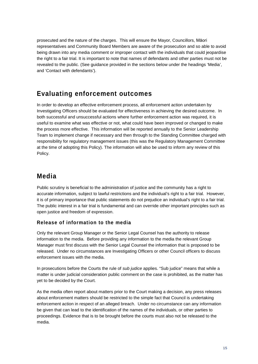prosecuted and the nature of the charges. This will ensure the Mayor, Councillors, Māori representatives and Community Board Members are aware of the prosecution and so able to avoid being drawn into any media comment or improper contact with the individuals that could jeopardise the right to a fair trial. It is important to note that names of defendants and other parties must not be revealed to the public. (See guidance provided in the sections below under the headings 'Media', and 'Contact with defendants').

# **Evaluating enforcement outcomes**

In order to develop an effective enforcement process, all enforcement action undertaken by Investigating Officers should be evaluated for effectiveness in achieving the desired outcome. In both successful and unsuccessful actions where further enforcement action was required, it is useful to examine what was effective or not, what could have been improved or changed to make the process more effective. This information will be reported annually to the Senior Leadership Team to implement change if necessary and then through to the Standing Committee charged with responsibility for regulatory management issues (this was the Regulatory Management Committee at the time of adopting this Policy). The information will also be used to inform any review of this Policy.

# **Media**

Public scrutiny is beneficial to the administration of justice and the community has a right to accurate information, subject to lawful restrictions and the individual's right to a fair trial. However, it is of primary importance that public statements do not prejudice an individual's right to a fair trial. The public interest in a fair trial is fundamental and can override other important principles such as open justice and freedom of expression.

## **Release of information to the media**

Only the relevant Group Manager or the Senior Legal Counsel has the authority to release information to the media. Before providing any information to the media the relevant Group Manager must first discuss with the Senior Legal Counsel the information that is proposed to be released. Under no circumstances are Investigating Officers or other Council officers to discuss enforcement issues with the media.

In prosecutions before the Courts the rule of *sub judice* applies. "Sub judice" means that while a matter is under judicial consideration public comment on the case is prohibited, as the matter has yet to be decided by the Court.

As the media often report about matters prior to the Court making a decision, any press releases about enforcement matters should be restricted to the simple fact that Council is undertaking enforcement action in respect of an alleged breach. Under no circumstance can any information be given that can lead to the identification of the names of the individuals, or other parties to proceedings. Evidence that is to be brought before the courts must also not be released to the media.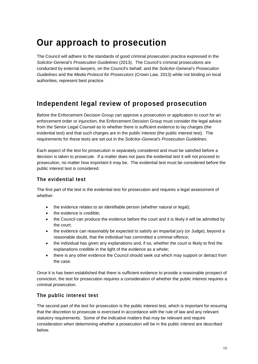# **Our approach to prosecution**

The Council will adhere to the standards of good criminal prosecution practice expressed in the *Solicitor-General's Prosecution Guidelines* (2013). The Council's criminal prosecutions are conducted by external lawyers, on the Council's behalf, and the *Solicitor-General's Prosecution Guidelines* and the *Media Protocol for Prosecutors* (Crown Law, 2013) while not binding on local authorities, represent best practice.

# **Independent legal review of proposed prosecution**

Before the Enforcement Decision Group can approve a prosecution or application to court for an enforcement order or injunction, the Enforcement Decision Group must consider the legal advice from the Senior Legal Counsel as to whether there is sufficient evidence to lay charges (the evidential test) and that such charges are in the public interest (the public interest test). The requirements for these tests are set out in the *Solicitor-General's Prosecution Guidelines*.

Each aspect of the test for prosecution is separately considered and must be satisfied before a decision is taken to prosecute. If a matter does not pass the evidential test it will not proceed to prosecution, no matter how important it may be. The evidential test must be considered before the public interest test is considered.

## **The evidential test**

The first part of the test is the evidential test for prosecution and requires a legal assessment of whether:

- the evidence relates to an identifiable person (whether natural or legal);
- the evidence is credible;
- the Council can produce the evidence before the court and it is likely it will be admitted by the court;
- the evidence can reasonably be expected to satisfy an impartial jury (or Judge), beyond a reasonable doubt, that the individual has committed a criminal offence;
- the individual has given any explanations and, if so, whether the court is likely to find the explanations credible in the light of the evidence as a whole;
- there is any other evidence the Council should seek out which may support or detract from the case.

Once it is has been established that there is sufficient evidence to provide a reasonable prospect of conviction, the test for prosecution requires a consideration of whether the public interest requires a criminal prosecution.

## **The public interest test**

The second part of the test for prosecution is the public interest test, which is important for ensuring that the discretion to prosecute is exercised in accordance with the rule of law and any relevant statutory requirements. Some of the indicative matters that may be relevant and require consideration when determining whether a prosecution will be in the public interest are described below.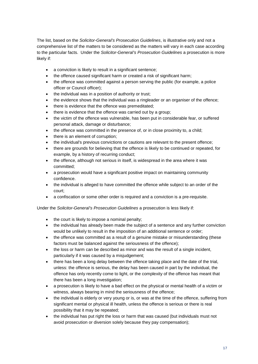The list, based on the *Solicitor-General's Prosecution Guidelines*, is illustrative only and not a comprehensive list of the matters to be considered as the matters will vary in each case according to the particular facts. Under the *Solicitor-General's Prosecution Guidelines* a prosecution is more likely if:

- a conviction is likely to result in a significant sentence;
- the offence caused significant harm or created a risk of significant harm;
- the offence was committed against a person serving the public (for example, a police officer or Council officer);
- the individual was in a position of authority or trust;
- the evidence shows that the individual was a ringleader or an organiser of the offence;
- there is evidence that the offence was premeditated;
- there is evidence that the offence was carried out by a group;
- the victim of the offence was vulnerable, has been put in considerable fear, or suffered personal attack, damage or disturbance;
- the offence was committed in the presence of, or in close proximity to, a child;
- there is an element of corruption;
- the individual's previous convictions or cautions are relevant to the present offence;
- there are grounds for believing that the offence is likely to be continued or repeated, for example, by a history of recurring conduct;
- the offence, although not serious in itself, is widespread in the area where it was committed;
- a prosecution would have a significant positive impact on maintaining community confidence.
- the individual is alleged to have committed the offence while subject to an order of the court;
- a confiscation or some other order is required and a conviction is a pre-requisite.

Under the *Solicitor-General's Prosecution Guidelines* a prosecution is less likely if:

- the court is likely to impose a nominal penalty;
- the individual has already been made the subject of a sentence and any further conviction would be unlikely to result in the imposition of an additional sentence or order;
- the offence was committed as a result of a genuine mistake or misunderstanding (these factors must be balanced against the seriousness of the offence);
- the loss or harm can be described as minor and was the result of a single incident, particularly if it was caused by a misjudgement;
- there has been a long delay between the offence taking place and the date of the trial, unless: the offence is serious, the delay has been caused in part by the individual, the offence has only recently come to light, or the complexity of the offence has meant that there has been a long investigation;
- a prosecution is likely to have a bad effect on the physical or mental health of a victim or witness, always bearing in mind the seriousness of the offence;
- the individual is elderly or very young or is, or was at the time of the offence, suffering from significant mental or physical ill health, unless the offence is serious or there is real possibility that it may be repeated;
- the individual has put right the loss or harm that was caused (but individuals must not avoid prosecution or diversion solely because they pay compensation);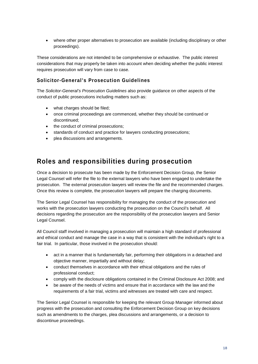• where other proper alternatives to prosecution are available (including disciplinary or other proceedings).

These considerations are not intended to be comprehensive or exhaustive. The public interest considerations that may properly be taken into account when deciding whether the public interest requires prosecution will vary from case to case.

## **Solicitor-General's Prosecution Guidelines**

The *Solicitor-General's Prosecution Guidelines* also provide guidance on other aspects of the conduct of public prosecutions including matters such as:

- what charges should be filed;
- once criminal proceedings are commenced, whether they should be continued or discontinued;
- the conduct of criminal prosecutions;
- standards of conduct and practice for lawyers conducting prosecutions;
- plea discussions and arrangements.

# **Roles and responsibilities during prosecution**

Once a decision to prosecute has been made by the Enforcement Decision Group, the Senior Legal Counsel will refer the file to the external lawyers who have been engaged to undertake the prosecution. The external prosecution lawyers will review the file and the recommended charges. Once this review is complete, the prosecution lawyers will prepare the charging documents.

The Senior Legal Counsel has responsibility for managing the conduct of the prosecution and works with the prosecution lawyers conducting the prosecution on the Council's behalf. All decisions regarding the prosecution are the responsibility of the prosecution lawyers and Senior Legal Counsel.

All Council staff involved in managing a prosecution will maintain a high standard of professional and ethical conduct and manage the case in a way that is consistent with the individual's right to a fair trial. In particular, those involved in the prosecution should:

- act in a manner that is fundamentally fair, performing their obligations in a detached and objective manner, impartially and without delay;
- conduct themselves in accordance with their ethical obligations and the rules of professional conduct;
- comply with the disclosure obligations contained in the Criminal Disclosure Act 2008; and
- be aware of the needs of victims and ensure that in accordance with the law and the requirements of a fair trial, victims and witnesses are treated with care and respect.

The Senior Legal Counsel is responsible for keeping the relevant Group Manager informed about progress with the prosecution and consulting the Enforcement Decision Group on key decisions such as amendments to the charges, plea discussions and arrangements, or a decision to discontinue proceedings.